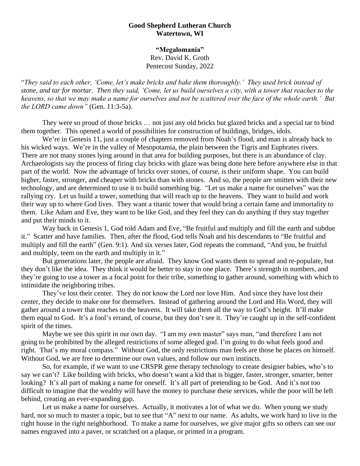## **Good Shepherd Lutheran Church Watertown, WI**

**"Megalomania"** Rev. David K. Groth Pentecost Sunday, 2022

"*They said to each other, 'Come, let's make bricks and bake them thoroughly.' They used brick instead of stone, and tar for mortar. Then they said, 'Come, let us build ourselves a city, with a tower that reaches to the heavens, so that we may make a name for ourselves and not be scattered over the face of the whole earth.' But the LORD came down"* (Gen. 11:3-5a).

They were so proud of those bricks … not just any old bricks but glazed bricks and a special tar to bind them together. This opened a world of possibilities for construction of buildings, bridges, idols.

We're in Genesis 11, just a couple of chapters removed from Noah's flood, and man is already back to his wicked ways. We're in the valley of Mesopotamia, the plain between the Tigris and Euphrates rivers. There are not many stones lying around in that area for building purposes, but there is an abundance of clay. Archaeologists say the process of firing clay bricks with glaze was being done here before anywhere else in that part of the world. Now the advantage of bricks over stones, of course, is their uniform shape. You can build higher, faster, stronger, and cheaper with bricks than with stones. And so, the people are smitten with their new technology, and are determined to use it to build something big. "Let us make a name for ourselves" was the rallying cry. Let us build a tower, something that will reach up to the heavens. They want to build and work their way up to where God lives. They want a titanic tower that would bring a certain fame and immortality to them. Like Adam and Eve, they want to be like God, and they feel they can do anything if they stay together and put their minds to it.

Way back in Genesis 1, God told Adam and Eve, "Be fruitful and multiply and fill the earth and subdue it." Scatter and have families. Then, after the flood, God tells Noah and his descendants to "Be fruitful and multiply and fill the earth" (Gen. 9:1). And six verses later, God repeats the command, "And you, be fruitful and multiply, teem on the earth and multiply in it."

But generations later, the people are afraid. They know God wants them to spread and re-populate, but they don't like the idea. They think it would be better to stay in one place. There's strength in numbers, and they're going to use a tower as a focal point for their tribe, something to gather around, something with which to intimidate the neighboring tribes.

They've lost their center. They do not know the Lord nor love Him. And since they have lost their center, they decide to make one for themselves. Instead of gathering around the Lord and His Word, they will gather around a tower that reaches to the heavens. It will take them all the way to God's height. It'll make them equal to God. It's a fool's errand, of course, but they don't see it. They're caught up in the self-confident spirit of the times.

Maybe we see this spirit in our own day. "I am my own master" says man, "and therefore I am not going to be prohibited by the alleged restrictions of some alleged god. I'm going to do what feels good and right. That's my moral compass." Without God, the only restrictions man feels are those he places on himself. Without God, we are free to determine our own values, and follow our own instincts.

So, for example, if we want to use CRSPR gene therapy technology to create designer babies, who's to say we can't? Like building with bricks, who doesn't want a kid that is bigger, faster, stronger, smarter, better looking? It's all part of making a name for oneself. It's all part of pretending to be God. And it's not too difficult to imagine that the wealthy will have the money to purchase these services, while the poor will be left behind, creating an ever-expanding gap.

Let us make a name for ourselves. Actually, it motivates a lot of what we do. When young we study hard, not so much to master a topic, but to see that "A" next to our name. As adults, we work hard to live in the right house in the right neighborhood. To make a name for ourselves, we give major gifts so others can see our names engraved into a paver, or scratched on a plaque, or printed in a program.